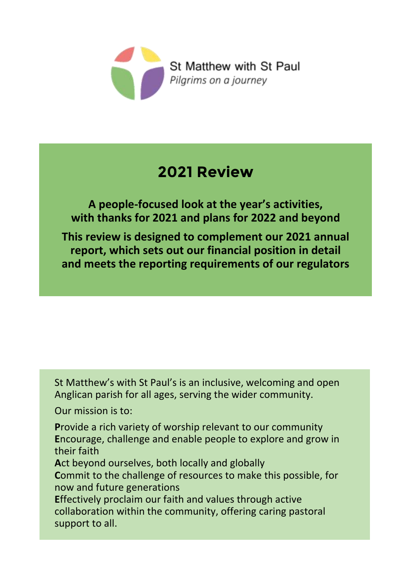

# **2021 Review**

**A people-focused look at the year's activities, with thanks for 2021 and plans for 2022 and beyond**

**This review is designed to complement our 2021 annual report, which sets out our financial position in detail and meets the reporting requirements of our regulators**

St Matthew's with St Paul's is an inclusive, welcoming and open Anglican parish for all ages, serving the wider community.

Our mission is to:

**P**rovide a rich variety of worship relevant to our community **E**ncourage, challenge and enable people to explore and grow in their faith

**A**ct beyond ourselves, both locally and globally

**C**ommit to the challenge of resources to make this possible, for now and future generations

**E**ffectively proclaim our faith and values through active collaboration within the community, offering caring pastoral support to all.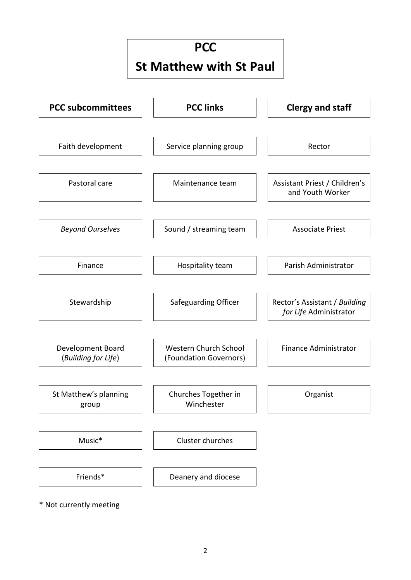### **PCC**

# **St Matthew with St Paul**



\* Not currently meeting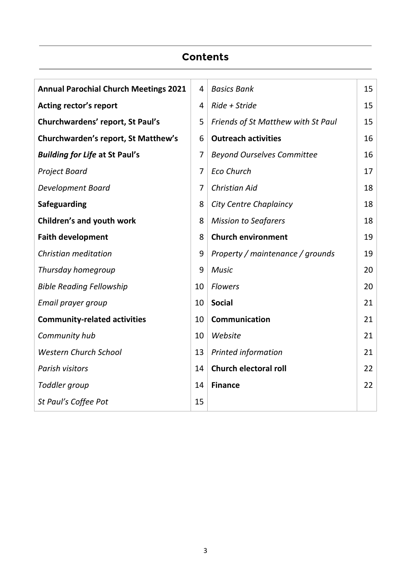### **Contents**

| <b>Annual Parochial Church Meetings 2021</b> | 4              | <b>Basics Bank</b>                 | 15 |
|----------------------------------------------|----------------|------------------------------------|----|
| Acting rector's report                       | 4              | Ride + Stride                      | 15 |
| Churchwardens' report, St Paul's             | 5              | Friends of St Matthew with St Paul | 15 |
| Churchwarden's report, St Matthew's          | 6              | <b>Outreach activities</b>         | 16 |
| <b>Building for Life at St Paul's</b>        | $\overline{7}$ | <b>Beyond Ourselves Committee</b>  | 16 |
| <b>Project Board</b>                         | $\overline{7}$ | <b>Eco Church</b>                  | 17 |
| Development Board                            | 7              | <b>Christian Aid</b>               | 18 |
| <b>Safeguarding</b>                          | 8              | <b>City Centre Chaplaincy</b>      | 18 |
| Children's and youth work                    | 8              | <b>Mission to Seafarers</b>        | 18 |
| <b>Faith development</b>                     | 8              | <b>Church environment</b>          | 19 |
| Christian meditation                         | 9              | Property / maintenance / grounds   | 19 |
| Thursday homegroup                           | 9              | <b>Music</b>                       | 20 |
| <b>Bible Reading Fellowship</b>              | 10             | <b>Flowers</b>                     | 20 |
| Email prayer group                           | 10             | <b>Social</b>                      | 21 |
| <b>Community-related activities</b>          | 10             | Communication                      | 21 |
| Community hub                                | 10             | Website                            | 21 |
| <b>Western Church School</b>                 | 13             | Printed information                | 21 |
| Parish visitors                              | 14             | <b>Church electoral roll</b>       | 22 |
| Toddler group                                | 14             | <b>Finance</b>                     | 22 |
| St Paul's Coffee Pot                         | 15             |                                    |    |
|                                              |                |                                    |    |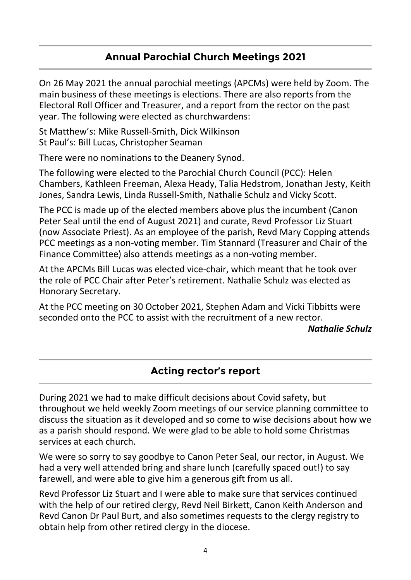### **Annual Parochial Church Meetings 2021**

On 26 May 2021 the annual parochial meetings (APCMs) were held by Zoom. The main business of these meetings is elections. There are also reports from the Electoral Roll Officer and Treasurer, and a report from the rector on the past year. The following were elected as churchwardens:

St Matthew's: Mike Russell-Smith, Dick Wilkinson St Paul's: Bill Lucas, Christopher Seaman

There were no nominations to the Deanery Synod.

The following were elected to the Parochial Church Council (PCC): Helen Chambers, Kathleen Freeman, Alexa Heady, Talia Hedstrom, Jonathan Jesty, Keith Jones, Sandra Lewis, Linda Russell-Smith, Nathalie Schulz and Vicky Scott.

The PCC is made up of the elected members above plus the incumbent (Canon Peter Seal until the end of August 2021) and curate, Revd Professor Liz Stuart (now Associate Priest). As an employee of the parish, Revd Mary Copping attends PCC meetings as a non-voting member. Tim Stannard (Treasurer and Chair of the Finance Committee) also attends meetings as a non-voting member.

At the APCMs Bill Lucas was elected vice-chair, which meant that he took over the role of PCC Chair after Peter's retirement. Nathalie Schulz was elected as Honorary Secretary.

At the PCC meeting on 30 October 2021, Stephen Adam and Vicki Tibbitts were seconded onto the PCC to assist with the recruitment of a new rector.

*Nathalie Schulz*

### **Acting rector's report**

During 2021 we had to make difficult decisions about Covid safety, but throughout we held weekly Zoom meetings of our service planning committee to discuss the situation as it developed and so come to wise decisions about how we as a parish should respond. We were glad to be able to hold some Christmas services at each church.

We were so sorry to say goodbye to Canon Peter Seal, our rector, in August. We had a very well attended bring and share lunch (carefully spaced out!) to say farewell, and were able to give him a generous gift from us all.

Revd Professor Liz Stuart and I were able to make sure that services continued with the help of our retired clergy, Revd Neil Birkett, Canon Keith Anderson and Revd Canon Dr Paul Burt, and also sometimes requests to the clergy registry to obtain help from other retired clergy in the diocese.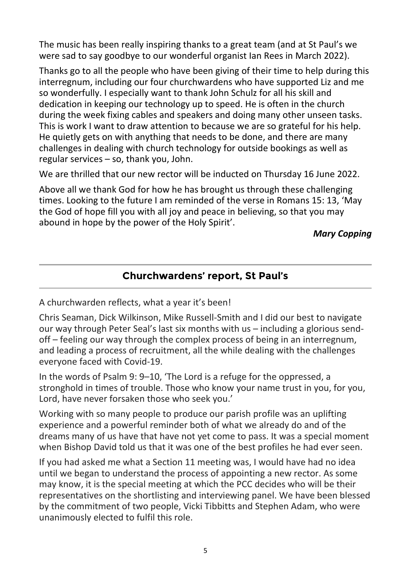The music has been really inspiring thanks to a great team (and at St Paul's we were sad to say goodbye to our wonderful organist Ian Rees in March 2022).

Thanks go to all the people who have been giving of their time to help during this interregnum, including our four churchwardens who have supported Liz and me so wonderfully. I especially want to thank John Schulz for all his skill and dedication in keeping our technology up to speed. He is often in the church during the week fixing cables and speakers and doing many other unseen tasks. This is work I want to draw attention to because we are so grateful for his help. He quietly gets on with anything that needs to be done, and there are many challenges in dealing with church technology for outside bookings as well as regular services – so, thank you, John.

We are thrilled that our new rector will be inducted on Thursday 16 June 2022.

Above all we thank God for how he has brought us through these challenging times. Looking to the future I am reminded of the verse in Romans 15: 13, 'May the God of hope fill you with all joy and peace in believing, so that you may abound in hope by the power of the Holy Spirit'.

*Mary Copping*

# **Churchwardens' report, St Paul's**

A churchwarden reflects, what a year it's been!

Chris Seaman, Dick Wilkinson, Mike Russell-Smith and I did our best to navigate our way through Peter Seal's last six months with us – including a glorious sendoff – feeling our way through the complex process of being in an interregnum, and leading a process of recruitment, all the while dealing with the challenges everyone faced with Covid-19.

In the words of Psalm 9: 9–10, 'The Lord is a refuge for the oppressed, a stronghold in times of trouble. Those who know your name trust in you, for you, Lord, have never forsaken those who seek you.'

Working with so many people to produce our parish profile was an uplifting experience and a powerful reminder both of what we already do and of the dreams many of us have that have not yet come to pass. It was a special moment when Bishop David told us that it was one of the best profiles he had ever seen.

If you had asked me what a Section 11 meeting was, I would have had no idea until we began to understand the process of appointing a new rector. As some may know, it is the special meeting at which the PCC decides who will be their representatives on the shortlisting and interviewing panel. We have been blessed by the commitment of two people, Vicki Tibbitts and Stephen Adam, who were unanimously elected to fulfil this role.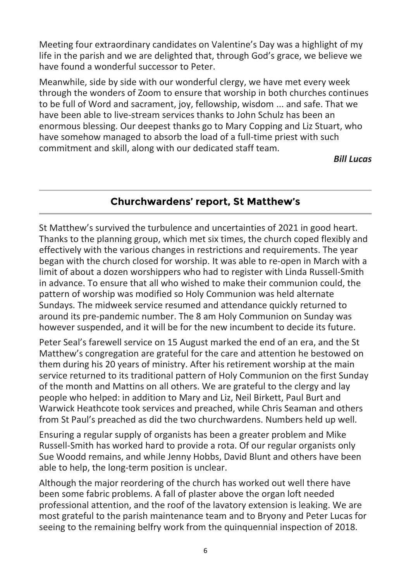Meeting four extraordinary candidates on Valentine's Day was a highlight of my life in the parish and we are delighted that, through God's grace, we believe we have found a wonderful successor to Peter.

Meanwhile, side by side with our wonderful clergy, we have met every week through the wonders of Zoom to ensure that worship in both churches continues to be full of Word and sacrament, joy, fellowship, wisdom ... and safe. That we have been able to live-stream services thanks to John Schulz has been an enormous blessing. Our deepest thanks go to Mary Copping and Liz Stuart, who have somehow managed to absorb the load of a full-time priest with such commitment and skill, along with our dedicated staff team.

*Bill Lucas*

### **Churchwardens' report, St Matthew's**

St Matthew's survived the turbulence and uncertainties of 2021 in good heart. Thanks to the planning group, which met six times, the church coped flexibly and effectively with the various changes in restrictions and requirements. The year began with the church closed for worship. It was able to re-open in March with a limit of about a dozen worshippers who had to register with Linda Russell-Smith in advance. To ensure that all who wished to make their communion could, the pattern of worship was modified so Holy Communion was held alternate Sundays. The midweek service resumed and attendance quickly returned to around its pre-pandemic number. The 8 am Holy Communion on Sunday was however suspended, and it will be for the new incumbent to decide its future.

Peter Seal's farewell service on 15 August marked the end of an era, and the St Matthew's congregation are grateful for the care and attention he bestowed on them during his 20 years of ministry. After his retirement worship at the main service returned to its traditional pattern of Holy Communion on the first Sunday of the month and Mattins on all others. We are grateful to the clergy and lay people who helped: in addition to Mary and Liz, Neil Birkett, Paul Burt and Warwick Heathcote took services and preached, while Chris Seaman and others from St Paul's preached as did the two churchwardens. Numbers held up well.

Ensuring a regular supply of organists has been a greater problem and Mike Russell-Smith has worked hard to provide a rota. Of our regular organists only Sue Woodd remains, and while Jenny Hobbs, David Blunt and others have been able to help, the long-term position is unclear.

Although the major reordering of the church has worked out well there have been some fabric problems. A fall of plaster above the organ loft needed professional attention, and the roof of the lavatory extension is leaking. We are most grateful to the parish maintenance team and to Bryony and Peter Lucas for seeing to the remaining belfry work from the quinquennial inspection of 2018.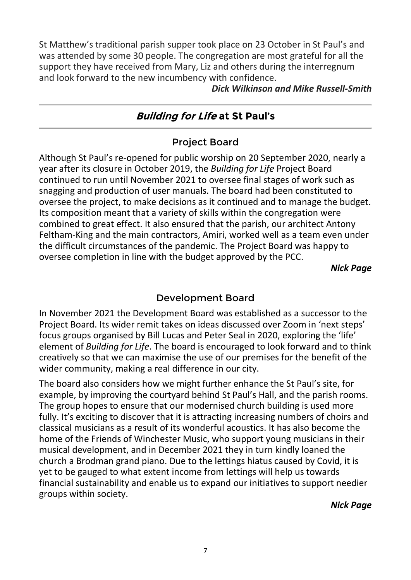St Matthew's traditional parish supper took place on 23 October in St Paul's and was attended by some 30 people. The congregation are most grateful for all the support they have received from Mary, Liz and others during the interregnum and look forward to the new incumbency with confidence.

*Dick Wilkinson and Mike Russell-Smith*

### **Building for Life at St Paul's**

#### Project Board

Although St Paul's re-opened for public worship on 20 September 2020, nearly a year after its closure in October 2019, the *Building for Life* Project Board continued to run until November 2021 to oversee final stages of work such as snagging and production of user manuals. The board had been constituted to oversee the project, to make decisions as it continued and to manage the budget. Its composition meant that a variety of skills within the congregation were combined to great effect. It also ensured that the parish, our architect Antony Feltham-King and the main contractors, Amiri, worked well as a team even under the difficult circumstances of the pandemic. The Project Board was happy to oversee completion in line with the budget approved by the PCC.

*Nick Page*

#### Development Board

In November 2021 the Development Board was established as a successor to the Project Board. Its wider remit takes on ideas discussed over Zoom in 'next steps' focus groups organised by Bill Lucas and Peter Seal in 2020, exploring the 'life' element of *Building for Life*. The board is encouraged to look forward and to think creatively so that we can maximise the use of our premises for the benefit of the wider community, making a real difference in our city.

The board also considers how we might further enhance the St Paul's site, for example, by improving the courtyard behind St Paul's Hall, and the parish rooms. The group hopes to ensure that our modernised church building is used more fully. It's exciting to discover that it is attracting increasing numbers of choirs and classical musicians as a result of its wonderful acoustics. It has also become the home of the Friends of Winchester Music, who support young musicians in their musical development, and in December 2021 they in turn kindly loaned the church a Brodman grand piano. Due to the lettings hiatus caused by Covid, it is yet to be gauged to what extent income from lettings will help us towards financial sustainability and enable us to expand our initiatives to support needier groups within society.

*Nick Page*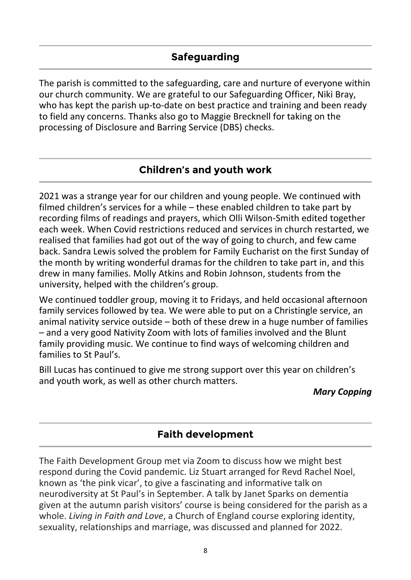The parish is committed to the safeguarding, care and nurture of everyone within our church community. We are grateful to our Safeguarding Officer, Niki Bray, who has kept the parish up-to-date on best practice and training and been ready to field any concerns. Thanks also go to Maggie Brecknell for taking on the processing of Disclosure and Barring Service (DBS) checks.

### **Children's and youth work**

2021 was a strange year for our children and young people. We continued with filmed children's services for a while – these enabled children to take part by recording films of readings and prayers, which Olli Wilson-Smith edited together each week. When Covid restrictions reduced and services in church restarted, we realised that families had got out of the way of going to church, and few came back. Sandra Lewis solved the problem for Family Eucharist on the first Sunday of the month by writing wonderful dramas for the children to take part in, and this drew in many families. Molly Atkins and Robin Johnson, students from the university, helped with the children's group.

We continued toddler group, moving it to Fridays, and held occasional afternoon family services followed by tea. We were able to put on a Christingle service, an animal nativity service outside – both of these drew in a huge number of families – and a very good Nativity Zoom with lots of families involved and the Blunt family providing music. We continue to find ways of welcoming children and families to St Paul's.

Bill Lucas has continued to give me strong support over this year on children's and youth work, as well as other church matters.

#### *Mary Copping*

### **Faith development**

The Faith Development Group met via Zoom to discuss how we might best respond during the Covid pandemic. Liz Stuart arranged for Revd Rachel Noel, known as 'the pink vicar', to give a fascinating and informative talk on neurodiversity at St Paul's in September. A talk by Janet Sparks on dementia given at the autumn parish visitors' course is being considered for the parish as a whole. *Living in Faith and Love*, a Church of England course exploring identity, sexuality, relationships and marriage, was discussed and planned for 2022.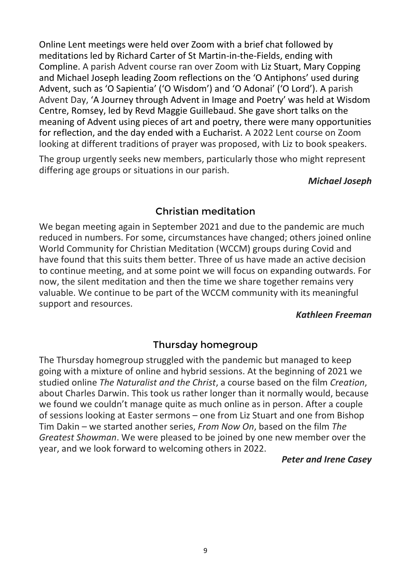Online Lent meetings were held over Zoom with a brief chat followed by meditations led by Richard Carter of St Martin-in-the-Fields, ending with Compline. A parish Advent course ran over Zoom with Liz Stuart, Mary Copping and Michael Joseph leading Zoom reflections on the 'O Antiphons' used during Advent, such as 'O Sapientia' ('O Wisdom') and 'O Adonai' ('O Lord'). A parish Advent Day, 'A Journey through Advent in Image and Poetry' was held at Wisdom Centre, Romsey, led by Revd Maggie Guillebaud. She gave short talks on the meaning of Advent using pieces of art and poetry, there were many opportunities for reflection, and the day ended with a Eucharist. A 2022 Lent course on Zoom looking at different traditions of prayer was proposed, with Liz to book speakers.

The group urgently seeks new members, particularly those who might represent differing age groups or situations in our parish.

*Michael Joseph*

#### Christian meditation

We began meeting again in September 2021 and due to the pandemic are much reduced in numbers. For some, circumstances have changed; others joined online World Community for Christian Meditation (WCCM) groups during Covid and have found that this suits them better. Three of us have made an active decision to continue meeting, and at some point we will focus on expanding outwards. For now, the silent meditation and then the time we share together remains very valuable. We continue to be part of the WCCM community with its meaningful support and resources.

#### *Kathleen Freeman*

#### Thursday homegroup

The Thursday homegroup struggled with the pandemic but managed to keep going with a mixture of online and hybrid sessions. At the beginning of 2021 we studied online *The Naturalist and the Christ*, a course based on the film *Creation*, about Charles Darwin. This took us rather longer than it normally would, because we found we couldn't manage quite as much online as in person. After a couple of sessions looking at Easter sermons – one from Liz Stuart and one from Bishop Tim Dakin – we started another series, *From Now On*, based on the film *The Greatest Showman*. We were pleased to be joined by one new member over the year, and we look forward to welcoming others in 2022.

#### *Peter and Irene Casey*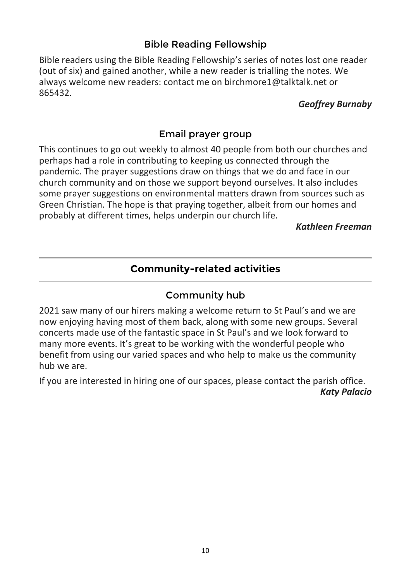### Bible Reading Fellowship

Bible readers using the Bible Reading Fellowship's series of notes lost one reader (out of six) and gained another, while a new reader is trialling the notes. We always welcome new readers: contact me on birchmore1@talktalk.net or 865432.

#### *Geoffrey Burnaby*

### Email prayer group

This continues to go out weekly to almost 40 people from both our churches and perhaps had a role in contributing to keeping us connected through the pandemic. The prayer suggestions draw on things that we do and face in our church community and on those we support beyond ourselves. It also includes some prayer suggestions on environmental matters drawn from sources such as Green Christian. The hope is that praying together, albeit from our homes and probably at different times, helps underpin our church life.

#### *Kathleen Freeman*

### **Community-related activities**

#### Community hub

2021 saw many of our hirers making a welcome return to St Paul's and we are now enjoying having most of them back, along with some new groups. Several concerts made use of the fantastic space in St Paul's and we look forward to many more events. It's great to be working with the wonderful people who benefit from using our varied spaces and who help to make us the community hub we are.

If you are interested in hiring one of our spaces, please contact the parish office. *Katy Palacio*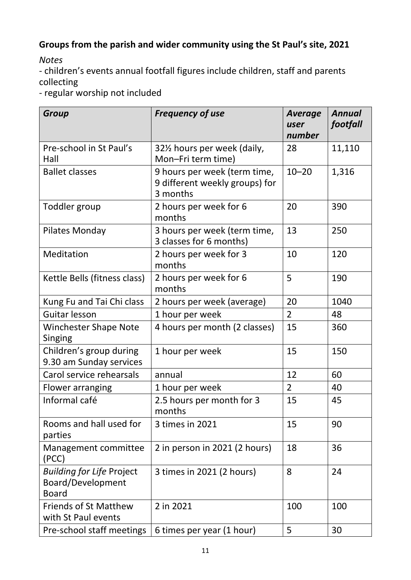# **Groups from the parish and wider community using the St Paul's site, 2021**

*Notes*

- children's events annual footfall figures include children, staff and parents collecting

- regular worship not included

| <b>Group</b>                                                          | <b>Frequency of use</b>                                                    | <b>Average</b><br>user<br>number | <b>Annual</b><br>footfall |
|-----------------------------------------------------------------------|----------------------------------------------------------------------------|----------------------------------|---------------------------|
| Pre-school in St Paul's<br>Hall                                       | 32½ hours per week (daily,<br>Mon-Fri term time)                           | 28                               | 11,110                    |
| <b>Ballet classes</b>                                                 | 9 hours per week (term time,<br>9 different weekly groups) for<br>3 months | $10 - 20$                        | 1,316                     |
| Toddler group                                                         | 2 hours per week for 6<br>months                                           | 20                               | 390                       |
| Pilates Monday                                                        | 3 hours per week (term time,<br>3 classes for 6 months)                    | 13                               | 250                       |
| Meditation                                                            | 2 hours per week for 3<br>months                                           | 10                               | 120                       |
| Kettle Bells (fitness class)                                          | 2 hours per week for 6<br>months                                           | 5                                | 190                       |
| Kung Fu and Tai Chi class                                             | 2 hours per week (average)                                                 | 20                               | 1040                      |
| Guitar lesson                                                         | 1 hour per week                                                            | $\overline{2}$                   | 48                        |
| <b>Winchester Shape Note</b><br>Singing                               | 4 hours per month (2 classes)                                              | 15                               | 360                       |
| Children's group during<br>9.30 am Sunday services                    | 1 hour per week                                                            | 15                               | 150                       |
| Carol service rehearsals                                              | annual                                                                     | 12                               | 60                        |
| Flower arranging                                                      | 1 hour per week                                                            | $\overline{2}$                   | 40                        |
| Informal café                                                         | 2.5 hours per month for 3<br>months                                        | 15                               | 45                        |
| Rooms and hall used for<br>parties                                    | 3 times in 2021                                                            | 15                               | 90                        |
| Management committee<br>(PCC)                                         | 2 in person in 2021 (2 hours)                                              | 18                               | 36                        |
| <b>Building for Life Project</b><br>Board/Development<br><b>Board</b> | 3 times in 2021 (2 hours)                                                  | 8                                | 24                        |
| <b>Friends of St Matthew</b><br>with St Paul events                   | 2 in 2021                                                                  | 100                              | 100                       |
| Pre-school staff meetings                                             | 6 times per year (1 hour)                                                  | 5                                | 30                        |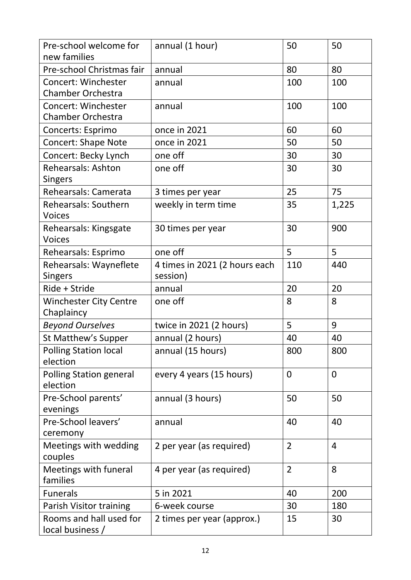| Pre-school welcome for<br>new families                 | annual (1 hour)                           | 50             | 50             |
|--------------------------------------------------------|-------------------------------------------|----------------|----------------|
| Pre-school Christmas fair                              | annual                                    | 80             | 80             |
| Concert: Winchester<br><b>Chamber Orchestra</b>        | annual                                    | 100            | 100            |
| <b>Concert: Winchester</b><br><b>Chamber Orchestra</b> | annual                                    | 100            | 100            |
| Concerts: Esprimo                                      | once in 2021                              | 60             | 60             |
| <b>Concert: Shape Note</b>                             | once in 2021                              | 50             | 50             |
| Concert: Becky Lynch                                   | one off                                   | 30             | 30             |
| <b>Rehearsals: Ashton</b><br><b>Singers</b>            | one off                                   | 30             | 30             |
| Rehearsals: Camerata                                   | 3 times per year                          | 25             | 75             |
| <b>Rehearsals: Southern</b><br><b>Voices</b>           | weekly in term time                       | 35             | 1,225          |
| Rehearsals: Kingsgate<br><b>Voices</b>                 | 30 times per year                         | 30             | 900            |
| Rehearsals: Esprimo                                    | one off                                   | 5              | 5              |
| Rehearsals: Wayneflete<br><b>Singers</b>               | 4 times in 2021 (2 hours each<br>session) | 110            | 440            |
| Ride + Stride                                          | annual                                    | 20             | 20             |
| <b>Winchester City Centre</b><br>Chaplaincy            | one off                                   | 8              | 8              |
| <b>Beyond Ourselves</b>                                | twice in 2021 (2 hours)                   | 5              | 9              |
| St Matthew's Supper                                    | annual (2 hours)                          | 40             | 40             |
| <b>Polling Station local</b><br>election               | annual (15 hours)                         | 800            | 800            |
| <b>Polling Station general</b><br>election             | every 4 years (15 hours)                  | $\mathbf 0$    | $\mathbf 0$    |
| Pre-School parents'<br>evenings                        | annual (3 hours)                          | 50             | 50             |
| Pre-School leavers'<br>ceremony                        | annual                                    | 40             | 40             |
| Meetings with wedding<br>couples                       | 2 per year (as required)                  | $\overline{2}$ | $\overline{4}$ |
| Meetings with funeral<br>families                      | 4 per year (as required)                  | $\overline{2}$ | 8              |
| <b>Funerals</b>                                        | 5 in 2021                                 | 40             | 200            |
| Parish Visitor training                                | 6-week course                             | 30             | 180            |
| Rooms and hall used for<br>local business /            | 2 times per year (approx.)                | 15             | 30             |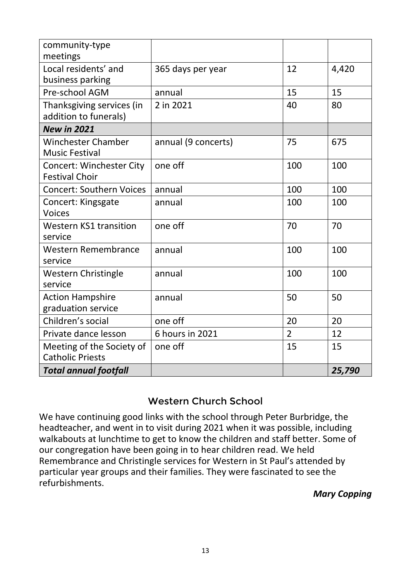| community-type<br>meetings                               |                     |                |        |
|----------------------------------------------------------|---------------------|----------------|--------|
| Local residents' and<br>business parking                 | 365 days per year   | 12             | 4,420  |
| Pre-school AGM                                           | annual              | 15             | 15     |
| Thanksgiving services (in<br>addition to funerals)       | 2 in 2021           | 40             | 80     |
| <b>New in 2021</b>                                       |                     |                |        |
| <b>Winchester Chamber</b><br><b>Music Festival</b>       | annual (9 concerts) | 75             | 675    |
| <b>Concert: Winchester City</b><br><b>Festival Choir</b> | one off             | 100            | 100    |
| <b>Concert: Southern Voices</b>                          | annual              | 100            | 100    |
| Concert: Kingsgate                                       | annual              | 100            | 100    |
| <b>Voices</b>                                            |                     |                |        |
| <b>Western KS1 transition</b><br>service                 | one off             | 70             | 70     |
| <b>Western Remembrance</b><br>service                    | annual              | 100            | 100    |
| <b>Western Christingle</b><br>service                    | annual              | 100            | 100    |
| <b>Action Hampshire</b><br>graduation service            | annual              | 50             | 50     |
| Children's social                                        | one off             | 20             | 20     |
| Private dance lesson                                     | 6 hours in 2021     | $\overline{2}$ | 12     |
| Meeting of the Society of<br><b>Catholic Priests</b>     | one off             | 15             | 15     |
| <b>Total annual footfall</b>                             |                     |                | 25,790 |

#### Western Church School

We have continuing good links with the school through Peter Burbridge, the headteacher, and went in to visit during 2021 when it was possible, including walkabouts at lunchtime to get to know the children and staff better. Some of our congregation have been going in to hear children read. We held Remembrance and Christingle services for Western in St Paul's attended by particular year groups and their families. They were fascinated to see the refurbishments.

#### *Mary Copping*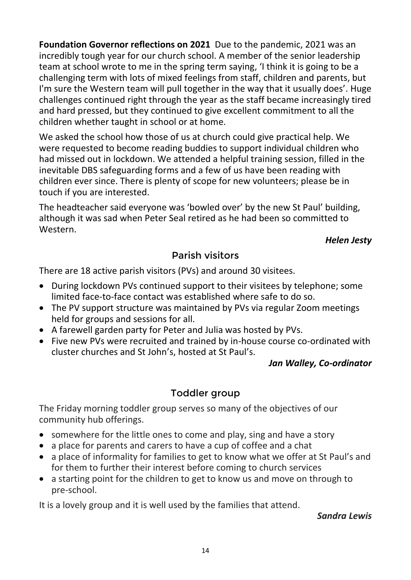**Foundation Governor reflections on 2021** Due to the pandemic, 2021 was an incredibly tough year for our church school. A member of the senior leadership team at school wrote to me in the spring term saying, 'I think it is going to be a challenging term with lots of mixed feelings from staff, children and parents, but I'm sure the Western team will pull together in the way that it usually does'. Huge challenges continued right through the year as the staff became increasingly tired and hard pressed, but they continued to give excellent commitment to all the children whether taught in school or at home.

We asked the school how those of us at church could give practical help. We were requested to become reading buddies to support individual children who had missed out in lockdown. We attended a helpful training session, filled in the inevitable DBS safeguarding forms and a few of us have been reading with children ever since. There is plenty of scope for new volunteers; please be in touch if you are interested.

The headteacher said everyone was 'bowled over' by the new St Paul' building, although it was sad when Peter Seal retired as he had been so committed to Western.

#### *Helen Jesty*

### Parish visitors

There are 18 active parish visitors (PVs) and around 30 visitees.

- During lockdown PVs continued support to their visitees by telephone; some limited face-to-face contact was established where safe to do so.
- The PV support structure was maintained by PVs via regular Zoom meetings held for groups and sessions for all.
- A farewell garden party for Peter and Julia was hosted by PVs.
- Five new PVs were recruited and trained by in-house course co-ordinated with cluster churches and St John's, hosted at St Paul's.

#### *Jan Walley, Co-ordinator*

### Toddler group

The Friday morning toddler group serves so many of the objectives of our community hub offerings.

- somewhere for the little ones to come and play, sing and have a story
- a place for parents and carers to have a cup of coffee and a chat
- a place of informality for families to get to know what we offer at St Paul's and for them to further their interest before coming to church services
- a starting point for the children to get to know us and move on through to pre-school.

It is a lovely group and it is well used by the families that attend.

#### *Sandra Lewis*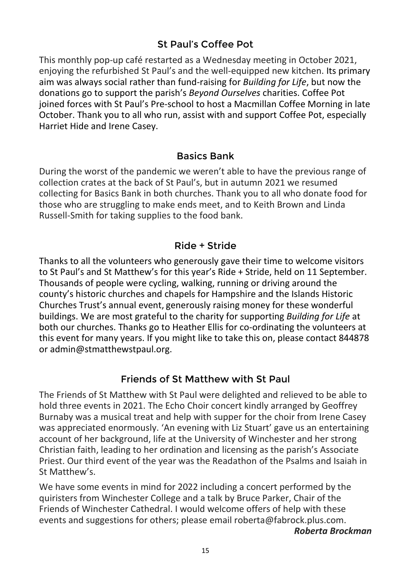### St Paul's Coffee Pot

This monthly pop-up café restarted as a Wednesday meeting in October 2021, enjoying the refurbished St Paul's and the well-equipped new kitchen. Its primary aim was always social rather than fund-raising for *Building for Life*, but now the donations go to support the parish's *Beyond Ourselves* charities. Coffee Pot joined forces with St Paul's Pre-school to host a Macmillan Coffee Morning in late October. Thank you to all who run, assist with and support Coffee Pot, especially Harriet Hide and Irene Casey.

#### Basics Bank

During the worst of the pandemic we weren't able to have the previous range of collection crates at the back of St Paul's, but in autumn 2021 we resumed collecting for Basics Bank in both churches. Thank you to all who donate food for those who are struggling to make ends meet, and to Keith Brown and Linda Russell-Smith for taking supplies to the food bank.

#### Ride + Stride

Thanks to all the volunteers who generously gave their time to welcome visitors to St Paul's and St Matthew's for this year's Ride + Stride, held on 11 September. Thousands of people were cycling, walking, running or driving around the county's historic churches and chapels for Hampshire and the Islands Historic Churches Trust's annual event, generously raising money for these wonderful buildings. We are most grateful to the charity for supporting *Building for Life* at both our churches. Thanks go to Heather Ellis for co-ordinating the volunteers at this event for many years. If you might like to take this on, please contact 844878 or admin@stmatthewstpaul.org.

#### Friends of St Matthew with St Paul

The Friends of St Matthew with St Paul were delighted and relieved to be able to hold three events in 2021. The Echo Choir concert kindly arranged by Geoffrey Burnaby was a musical treat and help with supper for the choir from Irene Casey was appreciated enormously. 'An evening with Liz Stuart' gave us an entertaining account of her background, life at the University of Winchester and her strong Christian faith, leading to her ordination and licensing as the parish's Associate Priest. Our third event of the year was the Readathon of the Psalms and Isaiah in St Matthew's.

We have some events in mind for 2022 including a concert performed by the quiristers from Winchester College and a talk by Bruce Parker, Chair of the Friends of Winchester Cathedral. I would welcome offers of help with these events and suggestions for others; please email [roberta@fabrock.plus.com.](mailto:roberta@fabrock.plus.com)

*Roberta Brockman*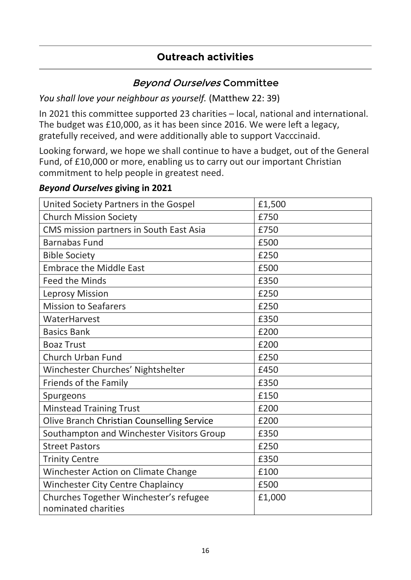### **Outreach activities**

### Beyond Ourselves Committee

*You shall love your neighbour as yourself.* (Matthew 22: 39)

In 2021 this committee supported 23 charities – local, national and international. The budget was £10,000, as it has been since 2016. We were left a legacy, gratefully received, and were additionally able to support Vacccinaid.

Looking forward, we hope we shall continue to have a budget, out of the General Fund, of £10,000 or more, enabling us to carry out our important Christian commitment to help people in greatest need.

#### *Beyond Ourselves* **giving in 2021**

| United Society Partners in the Gospel                         | £1,500 |
|---------------------------------------------------------------|--------|
| <b>Church Mission Society</b>                                 | £750   |
| CMS mission partners in South East Asia                       | £750   |
| <b>Barnabas Fund</b>                                          | £500   |
| <b>Bible Society</b>                                          | £250   |
| <b>Embrace the Middle East</b>                                | £500   |
| <b>Feed the Minds</b>                                         | £350   |
| <b>Leprosy Mission</b>                                        | £250   |
| <b>Mission to Seafarers</b>                                   | £250   |
| WaterHarvest                                                  | £350   |
| <b>Basics Bank</b>                                            | £200   |
| <b>Boaz Trust</b>                                             | £200   |
| Church Urban Fund                                             | £250   |
| Winchester Churches' Nightshelter                             | £450   |
| Friends of the Family                                         | £350   |
| Spurgeons                                                     | £150   |
| <b>Minstead Training Trust</b>                                | £200   |
| Olive Branch Christian Counselling Service                    | £200   |
| Southampton and Winchester Visitors Group                     | £350   |
| <b>Street Pastors</b>                                         | £250   |
| <b>Trinity Centre</b>                                         | £350   |
| Winchester Action on Climate Change                           | £100   |
| <b>Winchester City Centre Chaplaincy</b>                      | £500   |
| Churches Together Winchester's refugee<br>nominated charities | £1,000 |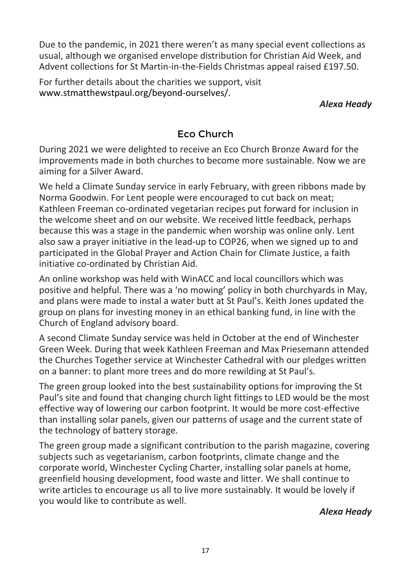Due to the pandemic, in 2021 there weren't as many special event collections as usual, although we organised envelope distribution for Christian Aid Week, and Advent collections for St Martin-in-the-Fields Christmas appeal raised £197.50.

For further details about the charities we support, visit www.stmatthewstpaul.org/beyond-ourselves/.

*Alexa Heady*

### Eco Church

During 2021 we were delighted to receive an Eco Church Bronze Award for the improvements made in both churches to become more sustainable. Now we are aiming for a Silver Award.

We held a Climate Sunday service in early February, with green ribbons made by Norma Goodwin. For Lent people were encouraged to cut back on meat; Kathleen Freeman co-ordinated vegetarian recipes put forward for inclusion in the welcome sheet and on our website. We received little feedback, perhaps because this was a stage in the pandemic when worship was online only. Lent also saw a prayer initiative in the lead-up to COP26, when we signed up to and participated in the Global Prayer and Action Chain for Climate Justice, a faith initiative co-ordinated by Christian Aid.

An online workshop was held with WinACC and local councillors which was positive and helpful. There was a 'no mowing' policy in both churchyards in May, and plans were made to instal a water butt at St Paul's. Keith Jones updated the group on plans for investing money in an ethical banking fund, in line with the Church of England advisory board.

A second Climate Sunday service was held in October at the end of Winchester Green Week. During that week Kathleen Freeman and Max Priesemann attended the Churches Together service at Winchester Cathedral with our pledges written on a banner: to plant more trees and do more rewilding at St Paul's.

The green group looked into the best sustainability options for improving the St Paul's site and found that changing church light fittings to LED would be the most effective way of lowering our carbon footprint. It would be more cost-effective than installing solar panels, given our patterns of usage and the current state of the technology of battery storage.

The green group made a significant contribution to the parish magazine, covering subjects such as vegetarianism, carbon footprints, climate change and the corporate world, Winchester Cycling Charter, installing solar panels at home, greenfield housing development, food waste and litter. We shall continue to write articles to encourage us all to live more sustainably. It would be lovely if you would like to contribute as well.

#### *Alexa Heady*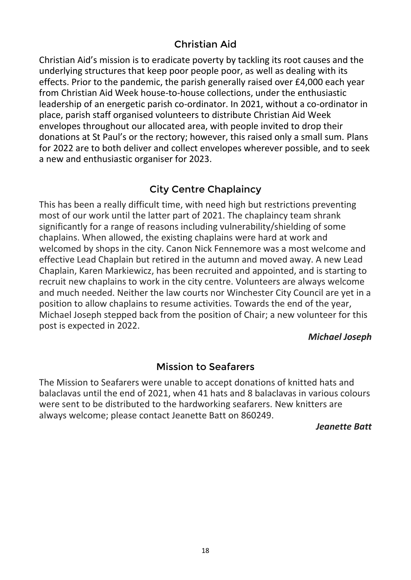### Christian Aid

Christian Aid's mission is to eradicate poverty by tackling its root causes and the underlying structures that keep poor people poor, as well as dealing with its effects. Prior to the pandemic, the parish generally raised over £4,000 each year from Christian Aid Week house-to-house collections, under the enthusiastic leadership of an energetic parish co-ordinator. In 2021, without a co-ordinator in place, parish staff organised volunteers to distribute Christian Aid Week envelopes throughout our allocated area, with people invited to drop their donations at St Paul's or the rectory; however, this raised only a small sum. Plans for 2022 are to both deliver and collect envelopes wherever possible, and to seek a new and enthusiastic organiser for 2023.

### City Centre Chaplaincy

This has been a really difficult time, with need high but restrictions preventing most of our work until the latter part of 2021. The chaplaincy team shrank significantly for a range of reasons including vulnerability/shielding of some chaplains. When allowed, the existing chaplains were hard at work and welcomed by shops in the city. Canon Nick Fennemore was a most welcome and effective Lead Chaplain but retired in the autumn and moved away. A new Lead Chaplain, Karen Markiewicz, has been recruited and appointed, and is starting to recruit new chaplains to work in the city centre. Volunteers are always welcome and much needed. Neither the law courts nor Winchester City Council are yet in a position to allow chaplains to resume activities. Towards the end of the year, Michael Joseph stepped back from the position of Chair; a new volunteer for this post is expected in 2022.

#### *Michael Joseph*

#### Mission to Seafarers

The Mission to Seafarers were unable to accept donations of knitted hats and balaclavas until the end of 2021, when 41 hats and 8 balaclavas in various colours were sent to be distributed to the hardworking seafarers. New knitters are always welcome; please contact Jeanette Batt on 860249.

*Jeanette Batt*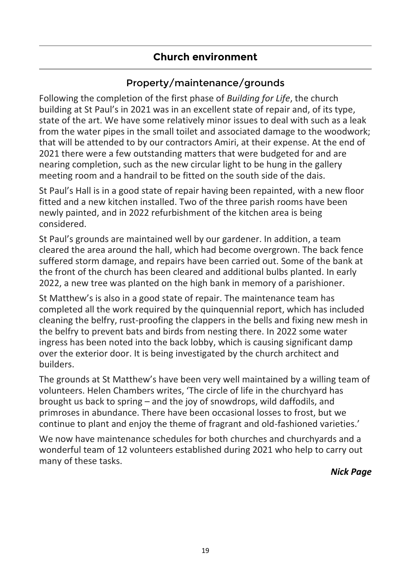### **Church environment**

### Property/maintenance/grounds

Following the completion of the first phase of *Building for Life*, the church building at St Paul's in 2021 was in an excellent state of repair and, of its type, state of the art. We have some relatively minor issues to deal with such as a leak from the water pipes in the small toilet and associated damage to the woodwork; that will be attended to by our contractors Amiri, at their expense. At the end of 2021 there were a few outstanding matters that were budgeted for and are nearing completion, such as the new circular light to be hung in the gallery meeting room and a handrail to be fitted on the south side of the dais.

St Paul's Hall is in a good state of repair having been repainted, with a new floor fitted and a new kitchen installed. Two of the three parish rooms have been newly painted, and in 2022 refurbishment of the kitchen area is being considered.

St Paul's grounds are maintained well by our gardener. In addition, a team cleared the area around the hall, which had become overgrown. The back fence suffered storm damage, and repairs have been carried out. Some of the bank at the front of the church has been cleared and additional bulbs planted. In early 2022, a new tree was planted on the high bank in memory of a parishioner.

St Matthew's is also in a good state of repair. The maintenance team has completed all the work required by the quinquennial report, which has included cleaning the belfry, rust-proofing the clappers in the bells and fixing new mesh in the belfry to prevent bats and birds from nesting there. In 2022 some water ingress has been noted into the back lobby, which is causing significant damp over the exterior door. It is being investigated by the church architect and builders.

The grounds at St Matthew's have been very well maintained by a willing team of volunteers. Helen Chambers writes, 'The circle of life in the churchyard has brought us back to spring – and the joy of snowdrops, wild daffodils, and primroses in abundance. There have been occasional losses to frost, but we continue to plant and enjoy the theme of fragrant and old-fashioned varieties.'

We now have maintenance schedules for both churches and churchyards and a wonderful team of 12 volunteers established during 2021 who help to carry out many of these tasks.

*Nick Page*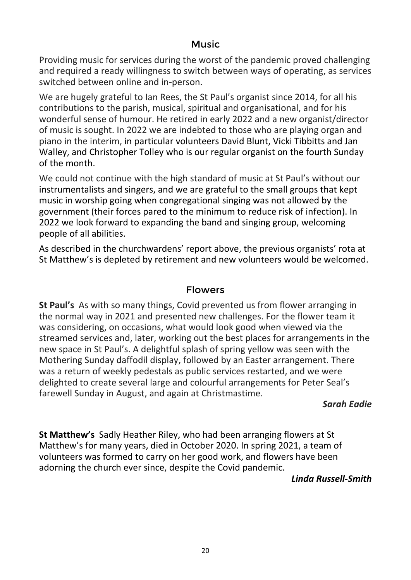#### Music

Providing music for services during the worst of the pandemic proved challenging and required a ready willingness to switch between ways of operating, as services switched between online and in-person.

We are hugely grateful to Ian Rees, the St Paul's organist since 2014, for all his contributions to the parish, musical, spiritual and organisational, and for his wonderful sense of humour. He retired in early 2022 and a new organist/director of music is sought. In 2022 we are indebted to those who are playing organ and piano in the interim, in particular volunteers David Blunt, Vicki Tibbitts and Jan Walley, and Christopher Tolley who is our regular organist on the fourth Sunday of the month.

We could not continue with the high standard of music at St Paul's without our instrumentalists and singers, and we are grateful to the small groups that kept music in worship going when congregational singing was not allowed by the government (their forces pared to the minimum to reduce risk of infection). In 2022 we look forward to expanding the band and singing group, welcoming people of all abilities.

As described in the churchwardens' report above, the previous organists' rota at St Matthew's is depleted by retirement and new volunteers would be welcomed.

#### Flowers

**St Paul's** As with so many things, Covid prevented us from flower arranging in the normal way in 2021 and presented new challenges. For the flower team it was considering, on occasions, what would look good when viewed via the streamed services and, later, working out the best places for arrangements in the new space in St Paul's. A delightful splash of spring yellow was seen with the Mothering Sunday daffodil display, followed by an Easter arrangement. There was a return of weekly pedestals as public services restarted, and we were delighted to create several large and colourful arrangements for Peter Seal's farewell Sunday in August, and again at Christmastime.

#### *Sarah Eadie*

**St Matthew's** Sadly Heather Riley, who had been arranging flowers at St Matthew's for many years, died in October 2020. In spring 2021, a team of volunteers was formed to carry on her good work, and flowers have been adorning the church ever since, despite the Covid pandemic.

#### *Linda Russell-Smith*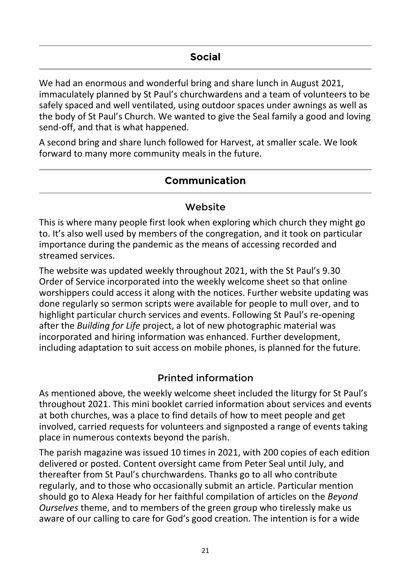We had an enormous and wonderful bring and share lunch in August 2021, immaculately planned by St Paul's churchwardens and a team of volunteers to be safely spaced and well ventilated, using outdoor spaces under awnings as well as the body of St Paul's Church. We wanted to give the Seal family a good and loving send-off, and that is what happened.

A second bring and share lunch followed for Harvest, at smaller scale. We look forward to many more community meals in the future.

#### **Communication**

#### Website

This is where many people first look when exploring which church they might go to. It's also well used by members of the congregation, and it took on particular importance during the pandemic as the means of accessing recorded and streamed services.

The website was updated weekly throughout 2021, with the St Paul's 9.30 Order of Service incorporated into the weekly welcome sheet so that online worshippers could access it along with the notices. Further website updating was done regularly so sermon scripts were available for people to mull over, and to highlight particular church services and events. Following St Paul's re-opening after the *Building for Life* project, a lot of new photographic material was incorporated and hiring information was enhanced. Further development, including adaptation to suit access on mobile phones, is planned for the future.

#### Printed information

As mentioned above, the weekly welcome sheet included the liturgy for St Paul's throughout 2021. This mini booklet carried information about services and events at both churches, was a place to find details of how to meet people and get involved, carried requests for volunteers and signposted a range of events taking place in numerous contexts beyond the parish.

The parish magazine was issued 10 times in 2021, with 200 copies of each edition delivered or posted. Content oversight came from Peter Seal until July, and thereafter from St Paul's churchwardens. Thanks go to all who contribute regularly, and to those who occasionally submit an article. Particular mention should go to Alexa Heady for her faithful compilation of articles on the *Beyond Ourselves* theme, and to members of the green group who tirelessly make us aware of our calling to care for God's good creation. The intention is for a wide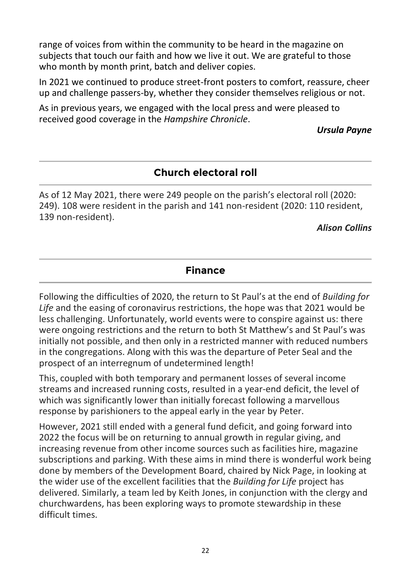range of voices from within the community to be heard in the magazine on subjects that touch our faith and how we live it out. We are grateful to those who month by month print, batch and deliver copies.

In 2021 we continued to produce street-front posters to comfort, reassure, cheer up and challenge passers-by, whether they consider themselves religious or not.

As in previous years, we engaged with the local press and were pleased to received good coverage in the *Hampshire Chronicle*.

#### *Ursula Payne*

### **Church electoral roll**

As of 12 May 2021, there were 249 people on the parish's electoral roll (2020: 249). 108 were resident in the parish and 141 non-resident (2020: 110 resident, 139 non-resident).

#### *Alison Collins*

#### **Finance**

Following the difficulties of 2020, the return to St Paul's at the end of *Building for Life* and the easing of coronavirus restrictions, the hope was that 2021 would be less challenging. Unfortunately, world events were to conspire against us: there were ongoing restrictions and the return to both St Matthew's and St Paul's was initially not possible, and then only in a restricted manner with reduced numbers in the congregations. Along with this was the departure of Peter Seal and the prospect of an interregnum of undetermined length!

This, coupled with both temporary and permanent losses of several income streams and increased running costs, resulted in a year-end deficit, the level of which was significantly lower than initially forecast following a marvellous response by parishioners to the appeal early in the year by Peter.

However, 2021 still ended with a general fund deficit, and going forward into 2022 the focus will be on returning to annual growth in regular giving, and increasing revenue from other income sources such as facilities hire, magazine subscriptions and parking. With these aims in mind there is wonderful work being done by members of the Development Board, chaired by Nick Page, in looking at the wider use of the excellent facilities that the *Building for Life* project has delivered. Similarly, a team led by Keith Jones, in conjunction with the clergy and churchwardens, has been exploring ways to promote stewardship in these difficult times.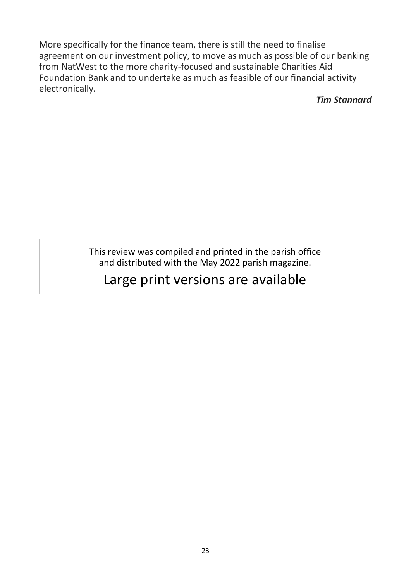More specifically for the finance team, there is still the need to finalise agreement on our investment policy, to move as much as possible of our banking from NatWest to the more charity-focused and sustainable Charities Aid Foundation Bank and to undertake as much as feasible of our financial activity electronically.

*Tim Stannard*

This review was compiled and printed in the parish office and distributed with the May 2022 parish magazine.

# Large print versions are available